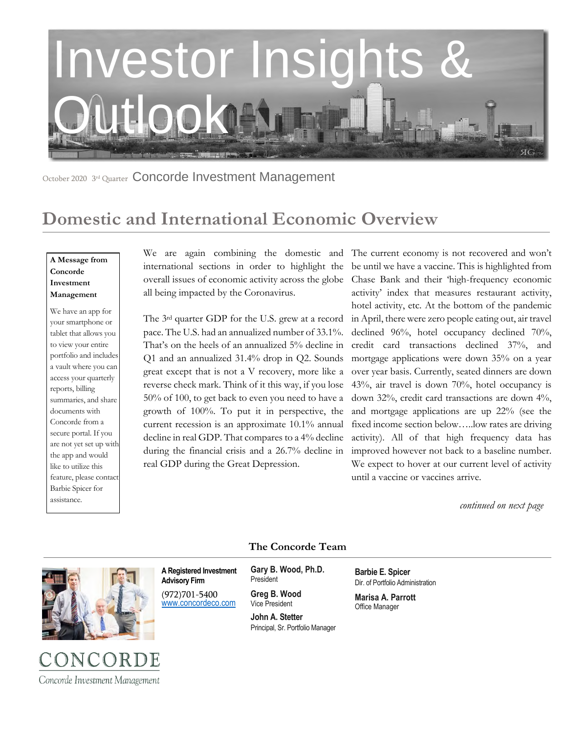

October 2020 3rd Quarter Concorde Investment Management

# **Domestic and International Economic Overview**

#### **A Message from Concorde Investment Management**

We have an app for your smartphone or tablet that allows you to view your entire portfolio and includes a vault where you can access your quarterly reports, billing summaries, and share documents with Concorde from a secure portal. If you are not yet set up with the app and would like to utilize this feature, please contact Barbie Spicer for assistance.

international sections in order to highlight the overall issues of economic activity across the globe all being impacted by the Coronavirus.

The 3rd quarter GDP for the U.S. grew at a record pace. The U.S. had an annualized number of 33.1%. That's on the heels of an annualized 5% decline in Q1 and an annualized 31.4% drop in Q2. Sounds great except that is not a V recovery, more like a reverse check mark. Think of it this way, if you lose 50% of 100, to get back to even you need to have a growth of 100%. To put it in perspective, the current recession is an approximate 10.1% annual decline in real GDP. That compares to a 4% decline during the financial crisis and a 26.7% decline in real GDP during the Great Depression.

We are again combining the domestic and The current economy is not recovered and won't be until we have a vaccine. This is highlighted from Chase Bank and their 'high-frequency economic activity' index that measures restaurant activity, hotel activity, etc. At the bottom of the pandemic in April, there were zero people eating out, air travel declined 96%, hotel occupancy declined 70%, credit card transactions declined 37%, and mortgage applications were down 35% on a year over year basis. Currently, seated dinners are down 43%, air travel is down 70%, hotel occupancy is down 32%, credit card transactions are down 4%, and mortgage applications are up 22% (see the fixed income section below…..low rates are driving activity). All of that high frequency data has improved however not back to a baseline number. We expect to hover at our current level of activity until a vaccine or vaccines arrive.

 *continued on next page*



#### **The Concorde Team**

**A Registered Investment Advisory Firm** 

(972)701-5400 [www.concordeco.com](http://www.concordeco.com/) **Gary B. Wood, Ph.D.** President

**Greg B. Wood** Vice President

**John A. Stetter**  Principal, Sr. Portfolio Manager **Barbie E. Spicer**  Dir. of Portfolio Administration

**Marisa A. Parrott** Office Manager

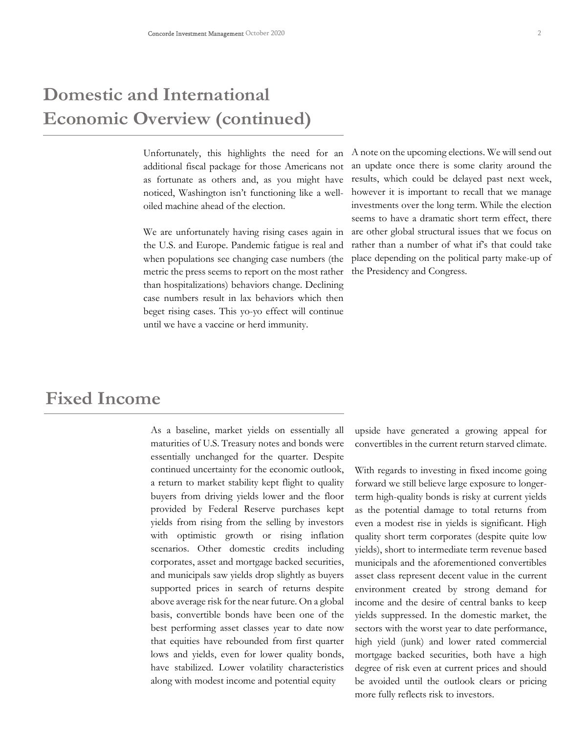# **Domestic and International Economic Overview (continued)**

Unfortunately, this highlights the need for an additional fiscal package for those Americans not as fortunate as others and, as you might have noticed, Washington isn't functioning like a welloiled machine ahead of the election.

We are unfortunately having rising cases again in the U.S. and Europe. Pandemic fatigue is real and when populations see changing case numbers (the metric the press seems to report on the most rather than hospitalizations) behaviors change. Declining case numbers result in lax behaviors which then beget rising cases. This yo-yo effect will continue until we have a vaccine or herd immunity.

A note on the upcoming elections. We will send out an update once there is some clarity around the results, which could be delayed past next week, however it is important to recall that we manage investments over the long term. While the election seems to have a dramatic short term effect, there are other global structural issues that we focus on rather than a number of what if's that could take place depending on the political party make-up of the Presidency and Congress.

### **Fixed Income**

As a baseline, market yields on essentially all maturities of U.S. Treasury notes and bonds were essentially unchanged for the quarter. Despite continued uncertainty for the economic outlook, a return to market stability kept flight to quality buyers from driving yields lower and the floor provided by Federal Reserve purchases kept yields from rising from the selling by investors with optimistic growth or rising inflation scenarios. Other domestic credits including corporates, asset and mortgage backed securities, and municipals saw yields drop slightly as buyers supported prices in search of returns despite above average risk for the near future. On a global basis, convertible bonds have been one of the best performing asset classes year to date now that equities have rebounded from first quarter lows and yields, even for lower quality bonds, have stabilized. Lower volatility characteristics along with modest income and potential equity

upside have generated a growing appeal for convertibles in the current return starved climate.

With regards to investing in fixed income going forward we still believe large exposure to longerterm high-quality bonds is risky at current yields as the potential damage to total returns from even a modest rise in yields is significant. High quality short term corporates (despite quite low yields), short to intermediate term revenue based municipals and the aforementioned convertibles asset class represent decent value in the current environment created by strong demand for income and the desire of central banks to keep yields suppressed. In the domestic market, the sectors with the worst year to date performance, high yield (junk) and lower rated commercial mortgage backed securities, both have a high degree of risk even at current prices and should be avoided until the outlook clears or pricing more fully reflects risk to investors.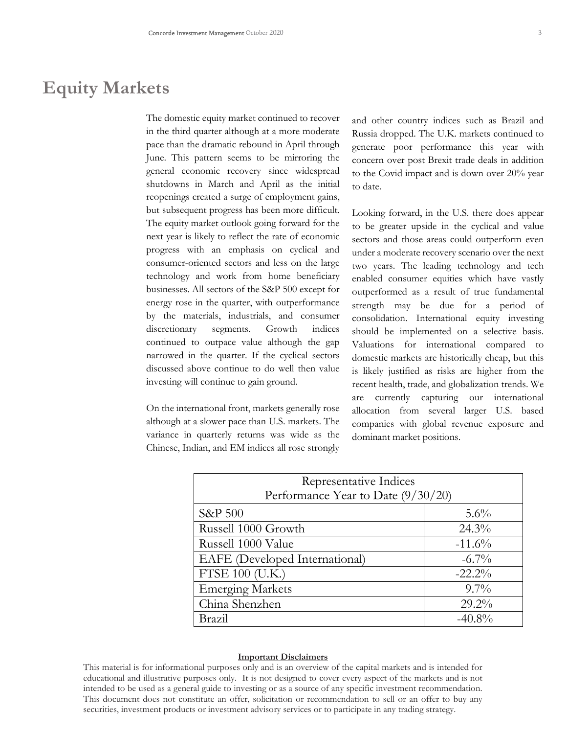## **Equity Markets**

The domestic equity market continued to recover in the third quarter although at a more moderate pace than the dramatic rebound in April through June. This pattern seems to be mirroring the general economic recovery since widespread shutdowns in March and April as the initial reopenings created a surge of employment gains, but subsequent progress has been more difficult. The equity market outlook going forward for the next year is likely to reflect the rate of economic progress with an emphasis on cyclical and consumer-oriented sectors and less on the large technology and work from home beneficiary businesses. All sectors of the S&P 500 except for energy rose in the quarter, with outperformance by the materials, industrials, and consumer discretionary segments. Growth indices continued to outpace value although the gap narrowed in the quarter. If the cyclical sectors discussed above continue to do well then value investing will continue to gain ground.

On the international front, markets generally rose although at a slower pace than U.S. markets. The variance in quarterly returns was wide as the Chinese, Indian, and EM indices all rose strongly and other country indices such as Brazil and Russia dropped. The U.K. markets continued to generate poor performance this year with concern over post Brexit trade deals in addition to the Covid impact and is down over 20% year to date.

Looking forward, in the U.S. there does appear to be greater upside in the cyclical and value sectors and those areas could outperform even under a moderate recovery scenario over the next two years. The leading technology and tech enabled consumer equities which have vastly outperformed as a result of true fundamental strength may be due for a period of consolidation. International equity investing should be implemented on a selective basis. Valuations for international compared to domestic markets are historically cheap, but this is likely justified as risks are higher from the recent health, trade, and globalization trends. We are currently capturing our international allocation from several larger U.S. based companies with global revenue exposure and dominant market positions.

| Representative Indices             |           |
|------------------------------------|-----------|
| Performance Year to Date (9/30/20) |           |
| <b>S&amp;P 500</b>                 | $5.6\%$   |
| Russell 1000 Growth                | $24.3\%$  |
| Russell 1000 Value                 | $-11.6%$  |
| EAFE (Developed International)     | $-6.7\%$  |
| FTSE 100 (U.K.)                    | $-22.2%$  |
| <b>Emerging Markets</b>            | $9.7\%$   |
| China Shenzhen                     | $29.2\%$  |
| Brazil                             | $-40.8\%$ |

#### **Important Disclaimers**

This material is for informational purposes only and is an overview of the capital markets and is intended for educational and illustrative purposes only. It is not designed to cover every aspect of the markets and is not intended to be used as a general guide to investing or as a source of any specific investment recommendation. This document does not constitute an offer, solicitation or recommendation to sell or an offer to buy any securities, investment products or investment advisory services or to participate in any trading strategy.